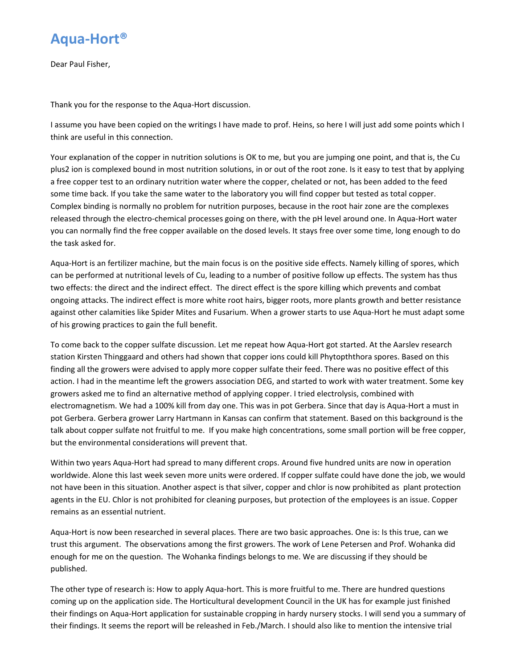

Dear Paul Fisher,

Thank you for the response to the Aqua‐Hort discussion.

I assume you have been copied on the writings I have made to prof. Heins, so here I will just add some points which I think are useful in this connection.

Your explanation of the copper in nutrition solutions is OK to me, but you are jumping one point, and that is, the Cu plus2 ion is complexed bound in most nutrition solutions, in or out of the root zone. Is it easy to test that by applying a free copper test to an ordinary nutrition water where the copper, chelated or not, has been added to the feed some time back. If you take the same water to the laboratory you will find copper but tested as total copper. Complex binding is normally no problem for nutrition purposes, because in the root hair zone are the complexes released through the electro-chemical processes going on there, with the pH level around one. In Aqua-Hort water you can normally find the free copper available on the dosed levels. It stays free over some time, long enough to do the task asked for.

Aqua‐Hort is an fertilizer machine, but the main focus is on the positive side effects. Namely killing of spores, which can be performed at nutritional levels of Cu, leading to a number of positive follow up effects. The system has thus two effects: the direct and the indirect effect. The direct effect is the spore killing which prevents and combat ongoing attacks. The indirect effect is more white root hairs, bigger roots, more plants growth and better resistance against other calamities like Spider Mites and Fusarium. When a grower starts to use Aqua-Hort he must adapt some of his growing practices to gain the full benefit.

To come back to the copper sulfate discussion. Let me repeat how Aqua‐Hort got started. At the Aarslev research station Kirsten Thinggaard and others had shown that copper ions could kill Phytopththora spores. Based on this finding all the growers were advised to apply more copper sulfate their feed. There was no positive effect of this action. I had in the meantime left the growers association DEG, and started to work with water treatment. Some key growers asked me to find an alternative method of applying copper. I tried electrolysis, combined with electromagnetism. We had a 100% kill from day one. This was in pot Gerbera. Since that day is Aqua‐Hort a must in pot Gerbera. Gerbera grower Larry Hartmann in Kansas can confirm that statement. Based on this background is the talk about copper sulfate not fruitful to me. If you make high concentrations, some small portion will be free copper, but the environmental considerations will prevent that.

Within two years Aqua‐Hort had spread to many different crops. Around five hundred units are now in operation worldwide. Alone this last week seven more units were ordered. If copper sulfate could have done the job, we would not have been in this situation. Another aspect is that silver, copper and chlor is now prohibited as plant protection agents in the EU. Chlor is not prohibited for cleaning purposes, but protection of the employees is an issue. Copper remains as an essential nutrient.

Aqua‐Hort is now been researched in several places. There are two basic approaches. One is: Is this true, can we trust this argument. The observations among the first growers. The work of Lene Petersen and Prof. Wohanka did enough for me on the question. The Wohanka findings belongs to me. We are discussing if they should be published.

The other type of research is: How to apply Aqua‐hort. This is more fruitful to me. There are hundred questions coming up on the application side. The Horticultural development Council in the UK has for example just finished their findings on Aqua‐Hort application for sustainable cropping in hardy nursery stocks. I will send you a summary of their findings. It seems the report will be releashed in Feb./March. I should also like to mention the intensive trial